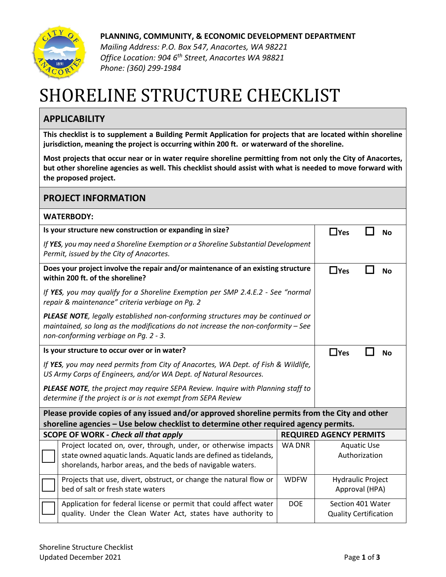

**PLANNING, COMMUNITY, & ECONOMIC DEVELOPMENT DEPARTMENT**

*Mailing Address: P.O. Box 547, Anacortes, WA 98221 Office Location: 904 6th Street, Anacortes WA 98821 Phone: (360) 299-1984*

## SHORELINE STRUCTURE CHECKLIST

## **APPLICABILITY**

**This checklist is to supplement a Building Permit Application for projects that are located within shoreline jurisdiction, meaning the project is occurring within 200 ft. or waterward of the shoreline.**

**Most projects that occur near or in water require shoreline permitting from not only the City of Anacortes, but other shoreline agencies as well. This checklist should assist with what is needed to move forward with the proposed project.**

| <b>PROJECT INFORMATION</b>                                                                                                                                                                                   |               |                                                   |           |  |  |  |
|--------------------------------------------------------------------------------------------------------------------------------------------------------------------------------------------------------------|---------------|---------------------------------------------------|-----------|--|--|--|
| <b>WATERBODY:</b>                                                                                                                                                                                            |               |                                                   |           |  |  |  |
| Is your structure new construction or expanding in size?                                                                                                                                                     |               |                                                   | <b>No</b> |  |  |  |
| If YES, you may need a Shoreline Exemption or a Shoreline Substantial Development<br>Permit, issued by the City of Anacortes.                                                                                |               |                                                   |           |  |  |  |
| Does your project involve the repair and/or maintenance of an existing structure<br>within 200 ft. of the shoreline?                                                                                         |               |                                                   | <b>No</b> |  |  |  |
| If YES, you may qualify for a Shoreline Exemption per SMP 2.4.E.2 - See "normal<br>repair & maintenance" criteria verbiage on Pg. 2                                                                          |               |                                                   |           |  |  |  |
| PLEASE NOTE, legally established non-conforming structures may be continued or<br>maintained, so long as the modifications do not increase the non-conformity - See<br>non-conforming verbiage on Pg. 2 - 3. |               |                                                   |           |  |  |  |
| Is your structure to occur over or in water?                                                                                                                                                                 |               |                                                   | <b>No</b> |  |  |  |
| If YES, you may need permits from City of Anacortes, WA Dept. of Fish & Wildlife,<br>US Army Corps of Engineers, and/or WA Dept. of Natural Resources.                                                       |               |                                                   |           |  |  |  |
| PLEASE NOTE, the project may require SEPA Review. Inquire with Planning staff to<br>determine if the project is or is not exempt from SEPA Review                                                            |               |                                                   |           |  |  |  |
| Please provide copies of any issued and/or approved shoreline permits from the City and other<br>shoreline agencies - Use below checklist to determine other required agency permits.                        |               |                                                   |           |  |  |  |
| <b>SCOPE OF WORK - Check all that apply</b><br><b>REQUIRED AGENCY PERMITS</b>                                                                                                                                |               |                                                   |           |  |  |  |
| Project located on, over, through, under, or otherwise impacts<br>state owned aquatic lands. Aquatic lands are defined as tidelands,<br>shorelands, harbor areas, and the beds of navigable waters.          | <b>WA DNR</b> | <b>Aquatic Use</b><br>Authorization               |           |  |  |  |
| Projects that use, divert, obstruct, or change the natural flow or<br>bed of salt or fresh state waters                                                                                                      | <b>WDFW</b>   | <b>Hydraulic Project</b><br>Approval (HPA)        |           |  |  |  |
| Application for federal license or permit that could affect water<br>quality. Under the Clean Water Act, states have authority to                                                                            | <b>DOE</b>    | Section 401 Water<br><b>Quality Certification</b> |           |  |  |  |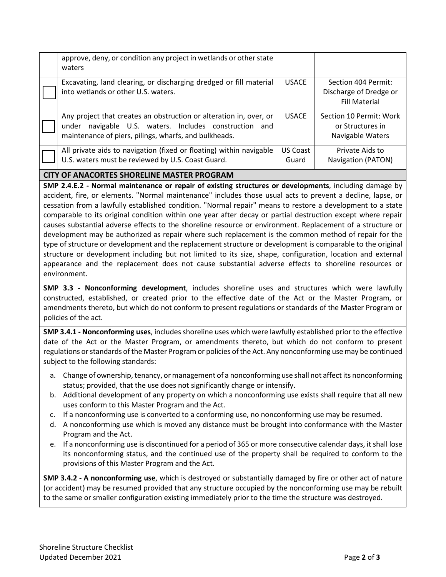|                                                                                                                | approve, deny, or condition any project in wetlands or other state<br>waters                                                                                                             |                   |                                                                       |  |  |  |
|----------------------------------------------------------------------------------------------------------------|------------------------------------------------------------------------------------------------------------------------------------------------------------------------------------------|-------------------|-----------------------------------------------------------------------|--|--|--|
|                                                                                                                | Excavating, land clearing, or discharging dredged or fill material<br>into wetlands or other U.S. waters.                                                                                | <b>USACE</b>      | Section 404 Permit:<br>Discharge of Dredge or<br><b>Fill Material</b> |  |  |  |
|                                                                                                                | Any project that creates an obstruction or alteration in, over, or<br>navigable U.S. waters. Includes construction and<br>under<br>maintenance of piers, pilings, wharfs, and bulkheads. | <b>USACE</b>      | Section 10 Permit: Work<br>or Structures in<br>Navigable Waters       |  |  |  |
|                                                                                                                | All private aids to navigation (fixed or floating) within navigable<br>U.S. waters must be reviewed by U.S. Coast Guard.                                                                 | US Coast<br>Guard | Private Aids to<br>Navigation (PATON)                                 |  |  |  |
| <b>CITY OF ANACORTES SHORELINE MASTER PROGRAM</b>                                                              |                                                                                                                                                                                          |                   |                                                                       |  |  |  |
| ANAN ALAM ALAM INDIAN DENGAN DENGAN SAMUDI DENGAN DENGAN DENGAN DENGAN DENGAN DENGAN DENGAN DENGAN DENGAN DENG |                                                                                                                                                                                          |                   |                                                                       |  |  |  |

**SMP 2.4.E.2 - Normal maintenance or repair of existing structures or developments**, including damage by accident, fire, or elements. "Normal maintenance" includes those usual acts to prevent a decline, lapse, or cessation from a lawfully established condition. "Normal repair" means to restore a development to a state comparable to its original condition within one year after decay or partial destruction except where repair causes substantial adverse effects to the shoreline resource or environment. Replacement of a structure or development may be authorized as repair where such replacement is the common method of repair for the type of structure or development and the replacement structure or development is comparable to the original structure or development including but not limited to its size, shape, configuration, location and external appearance and the replacement does not cause substantial adverse effects to shoreline resources or environment.

**SMP 3.3 - Nonconforming development**, includes shoreline uses and structures which were lawfully constructed, established, or created prior to the effective date of the Act or the Master Program, or amendments thereto, but which do not conform to present regulations or standards of the Master Program or policies of the act.

**SMP 3.4.1 - Nonconforming uses**, includes shoreline uses which were lawfully established prior to the effective date of the Act or the Master Program, or amendments thereto, but which do not conform to present regulations or standards of the Master Program or policies of the Act. Any nonconforming use may be continued subject to the following standards:

- a. Change of ownership, tenancy, or management of a nonconforming use shall not affect its nonconforming status; provided, that the use does not significantly change or intensify.
- b. Additional development of any property on which a nonconforming use exists shall require that all new uses conform to this Master Program and the Act.
- c. If a nonconforming use is converted to a conforming use, no nonconforming use may be resumed.
- d. A nonconforming use which is moved any distance must be brought into conformance with the Master Program and the Act.
- e. If a nonconforming use is discontinued for a period of 365 or more consecutive calendar days, it shall lose its nonconforming status, and the continued use of the property shall be required to conform to the provisions of this Master Program and the Act.

**SMP 3.4.2 - A nonconforming use**, which is destroyed or substantially damaged by fire or other act of nature (or accident) may be resumed provided that any structure occupied by the nonconforming use may be rebuilt to the same or smaller configuration existing immediately prior to the time the structure was destroyed.